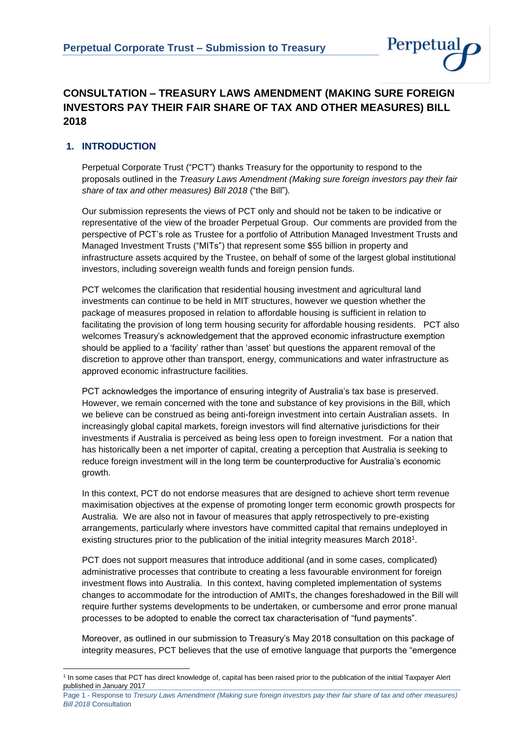

# **CONSULTATION – TREASURY LAWS AMENDMENT (MAKING SURE FOREIGN INVESTORS PAY THEIR FAIR SHARE OF TAX AND OTHER MEASURES) BILL 2018**

## **1. INTRODUCTION**

Perpetual Corporate Trust ("PCT") thanks Treasury for the opportunity to respond to the proposals outlined in the *Treasury Laws Amendment (Making sure foreign investors pay their fair share of tax and other measures) Bill 2018* ("the Bill")*.*

Our submission represents the views of PCT only and should not be taken to be indicative or representative of the view of the broader Perpetual Group. Our comments are provided from the perspective of PCT's role as Trustee for a portfolio of Attribution Managed Investment Trusts and Managed Investment Trusts ("MITs") that represent some \$55 billion in property and infrastructure assets acquired by the Trustee, on behalf of some of the largest global institutional investors, including sovereign wealth funds and foreign pension funds.

PCT welcomes the clarification that residential housing investment and agricultural land investments can continue to be held in MIT structures, however we question whether the package of measures proposed in relation to affordable housing is sufficient in relation to facilitating the provision of long term housing security for affordable housing residents. PCT also welcomes Treasury's acknowledgement that the approved economic infrastructure exemption should be applied to a 'facility' rather than 'asset' but questions the apparent removal of the discretion to approve other than transport, energy, communications and water infrastructure as approved economic infrastructure facilities.

PCT acknowledges the importance of ensuring integrity of Australia's tax base is preserved. However, we remain concerned with the tone and substance of key provisions in the Bill, which we believe can be construed as being anti-foreign investment into certain Australian assets. In increasingly global capital markets, foreign investors will find alternative jurisdictions for their investments if Australia is perceived as being less open to foreign investment. For a nation that has historically been a net importer of capital, creating a perception that Australia is seeking to reduce foreign investment will in the long term be counterproductive for Australia's economic growth.

In this context, PCT do not endorse measures that are designed to achieve short term revenue maximisation objectives at the expense of promoting longer term economic growth prospects for Australia. We are also not in favour of measures that apply retrospectively to pre-existing arrangements, particularly where investors have committed capital that remains undeployed in existing structures prior to the publication of the initial integrity measures March 2018<sup>1</sup> .

PCT does not support measures that introduce additional (and in some cases, complicated) administrative processes that contribute to creating a less favourable environment for foreign investment flows into Australia. In this context, having completed implementation of systems changes to accommodate for the introduction of AMITs, the changes foreshadowed in the Bill will require further systems developments to be undertaken, or cumbersome and error prone manual processes to be adopted to enable the correct tax characterisation of "fund payments".

Moreover, as outlined in our submission to Treasury's May 2018 consultation on this package of integrity measures, PCT believes that the use of emotive language that purports the "emergence

**<sup>.</sup>** 1 In some cases that PCT has direct knowledge of, capital has been raised prior to the publication of the initial Taxpayer Alert published in January 2017

Page 1 - Response to *Tresury Laws Amendment (Making sure foreign investors pay their fair share of tax and other measures) Bill 2018* Consultation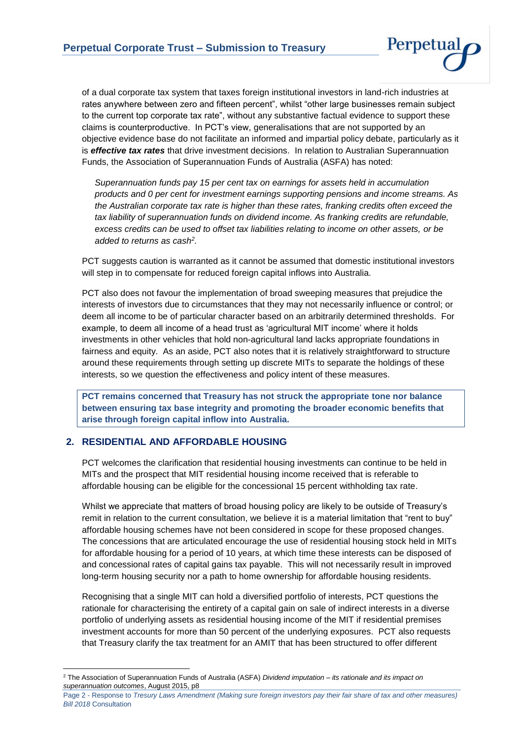

of a dual corporate tax system that taxes foreign institutional investors in land-rich industries at rates anywhere between zero and fifteen percent", whilst "other large businesses remain subject to the current top corporate tax rate", without any substantive factual evidence to support these claims is counterproductive. In PCT's view, generalisations that are not supported by an objective evidence base do not facilitate an informed and impartial policy debate, particularly as it is *effective tax rates* that drive investment decisions. In relation to Australian Superannuation Funds, the Association of Superannuation Funds of Australia (ASFA) has noted:

*Superannuation funds pay 15 per cent tax on earnings for assets held in accumulation products and 0 per cent for investment earnings supporting pensions and income streams. As the Australian corporate tax rate is higher than these rates, franking credits often exceed the tax liability of superannuation funds on dividend income. As franking credits are refundable, excess credits can be used to offset tax liabilities relating to income on other assets, or be added to returns as cash<sup>2</sup> .*

PCT suggests caution is warranted as it cannot be assumed that domestic institutional investors will step in to compensate for reduced foreign capital inflows into Australia.

PCT also does not favour the implementation of broad sweeping measures that prejudice the interests of investors due to circumstances that they may not necessarily influence or control; or deem all income to be of particular character based on an arbitrarily determined thresholds. For example, to deem all income of a head trust as 'agricultural MIT income' where it holds investments in other vehicles that hold non-agricultural land lacks appropriate foundations in fairness and equity. As an aside, PCT also notes that it is relatively straightforward to structure around these requirements through setting up discrete MITs to separate the holdings of these interests, so we question the effectiveness and policy intent of these measures.

**PCT remains concerned that Treasury has not struck the appropriate tone nor balance between ensuring tax base integrity and promoting the broader economic benefits that arise through foreign capital inflow into Australia.** 

## **2. RESIDENTIAL AND AFFORDABLE HOUSING**

PCT welcomes the clarification that residential housing investments can continue to be held in MITs and the prospect that MIT residential housing income received that is referable to affordable housing can be eligible for the concessional 15 percent withholding tax rate.

Whilst we appreciate that matters of broad housing policy are likely to be outside of Treasury's remit in relation to the current consultation, we believe it is a material limitation that "rent to buy" affordable housing schemes have not been considered in scope for these proposed changes. The concessions that are articulated encourage the use of residential housing stock held in MITs for affordable housing for a period of 10 years, at which time these interests can be disposed of and concessional rates of capital gains tax payable. This will not necessarily result in improved long-term housing security nor a path to home ownership for affordable housing residents.

Recognising that a single MIT can hold a diversified portfolio of interests, PCT questions the rationale for characterising the entirety of a capital gain on sale of indirect interests in a diverse portfolio of underlying assets as residential housing income of the MIT if residential premises investment accounts for more than 50 percent of the underlying exposures. PCT also requests that Treasury clarify the tax treatment for an AMIT that has been structured to offer different

**<sup>.</sup>** <sup>2</sup> The Association of Superannuation Funds of Australia (ASFA) *Dividend imputation – its rationale and its impact on superannuation outcomes*, August 2015, p8

Page 2 - Response to *Tresury Laws Amendment (Making sure foreign investors pay their fair share of tax and other measures) Bill 2018* Consultation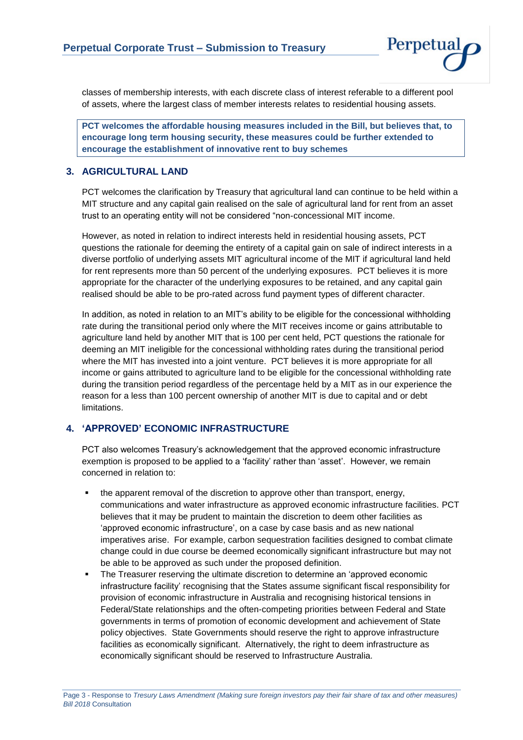

classes of membership interests, with each discrete class of interest referable to a different pool of assets, where the largest class of member interests relates to residential housing assets.

**PCT welcomes the affordable housing measures included in the Bill, but believes that, to encourage long term housing security, these measures could be further extended to encourage the establishment of innovative rent to buy schemes** 

## **3. AGRICULTURAL LAND**

PCT welcomes the clarification by Treasury that agricultural land can continue to be held within a MIT structure and any capital gain realised on the sale of agricultural land for rent from an asset trust to an operating entity will not be considered "non-concessional MIT income.

However, as noted in relation to indirect interests held in residential housing assets, PCT questions the rationale for deeming the entirety of a capital gain on sale of indirect interests in a diverse portfolio of underlying assets MIT agricultural income of the MIT if agricultural land held for rent represents more than 50 percent of the underlying exposures. PCT believes it is more appropriate for the character of the underlying exposures to be retained, and any capital gain realised should be able to be pro-rated across fund payment types of different character.

In addition, as noted in relation to an MIT's ability to be eligible for the concessional withholding rate during the transitional period only where the MIT receives income or gains attributable to agriculture land held by another MIT that is 100 per cent held, PCT questions the rationale for deeming an MIT ineligible for the concessional withholding rates during the transitional period where the MIT has invested into a joint venture. PCT believes it is more appropriate for all income or gains attributed to agriculture land to be eligible for the concessional withholding rate during the transition period regardless of the percentage held by a MIT as in our experience the reason for a less than 100 percent ownership of another MIT is due to capital and or debt limitations.

## **4. 'APPROVED' ECONOMIC INFRASTRUCTURE**

PCT also welcomes Treasury's acknowledgement that the approved economic infrastructure exemption is proposed to be applied to a 'facility' rather than 'asset'. However, we remain concerned in relation to:

- the apparent removal of the discretion to approve other than transport, energy, communications and water infrastructure as approved economic infrastructure facilities. PCT believes that it may be prudent to maintain the discretion to deem other facilities as 'approved economic infrastructure', on a case by case basis and as new national imperatives arise. For example, carbon sequestration facilities designed to combat climate change could in due course be deemed economically significant infrastructure but may not be able to be approved as such under the proposed definition.
- The Treasurer reserving the ultimate discretion to determine an 'approved economic infrastructure facility' recognising that the States assume significant fiscal responsibility for provision of economic infrastructure in Australia and recognising historical tensions in Federal/State relationships and the often-competing priorities between Federal and State governments in terms of promotion of economic development and achievement of State policy objectives. State Governments should reserve the right to approve infrastructure facilities as economically significant. Alternatively, the right to deem infrastructure as economically significant should be reserved to Infrastructure Australia.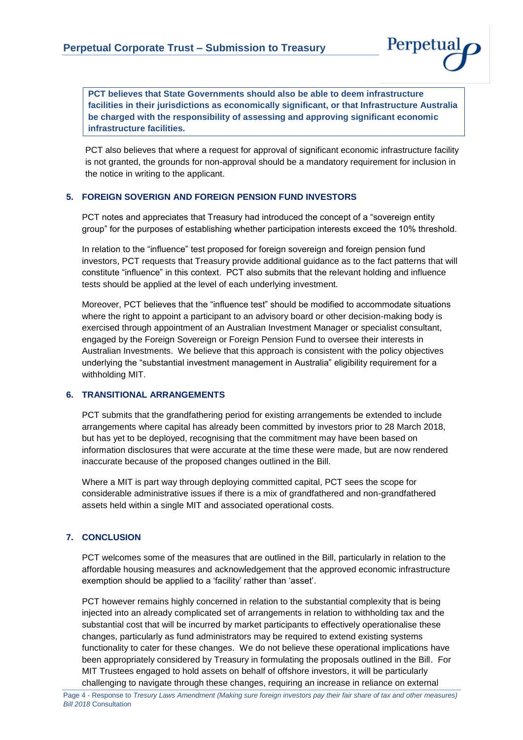

**PCT believes that State Governments should also be able to deem infrastructure facilities in their jurisdictions as economically significant, or that Infrastructure Australia be charged with the responsibility of assessing and approving significant economic infrastructure facilities.**

PCT also believes that where a request for approval of significant economic infrastructure facility is not granted, the grounds for non-approval should be a mandatory requirement for inclusion in the notice in writing to the applicant.

#### **5. FOREIGN SOVERIGN AND FOREIGN PENSION FUND INVESTORS**

PCT notes and appreciates that Treasury had introduced the concept of a "sovereign entity group" for the purposes of establishing whether participation interests exceed the 10% threshold.

In relation to the "influence" test proposed for foreign sovereign and foreign pension fund investors, PCT requests that Treasury provide additional guidance as to the fact patterns that will constitute "influence" in this context. PCT also submits that the relevant holding and influence tests should be applied at the level of each underlying investment.

Moreover, PCT believes that the "influence test" should be modified to accommodate situations where the right to appoint a participant to an advisory board or other decision-making body is exercised through appointment of an Australian Investment Manager or specialist consultant, engaged by the Foreign Sovereign or Foreign Pension Fund to oversee their interests in Australian Investments. We believe that this approach is consistent with the policy objectives underlying the "substantial investment management in Australia" eligibility requirement for a withholding MIT.

#### **6. TRANSITIONAL ARRANGEMENTS**

PCT submits that the grandfathering period for existing arrangements be extended to include arrangements where capital has already been committed by investors prior to 28 March 2018, but has yet to be deployed, recognising that the commitment may have been based on information disclosures that were accurate at the time these were made, but are now rendered inaccurate because of the proposed changes outlined in the Bill.

Where a MIT is part way through deploying committed capital, PCT sees the scope for considerable administrative issues if there is a mix of grandfathered and non-grandfathered assets held within a single MIT and associated operational costs.

#### **7. CONCLUSION**

PCT welcomes some of the measures that are outlined in the Bill, particularly in relation to the affordable housing measures and acknowledgement that the approved economic infrastructure exemption should be applied to a 'facility' rather than 'asset'.

PCT however remains highly concerned in relation to the substantial complexity that is being injected into an already complicated set of arrangements in relation to withholding tax and the substantial cost that will be incurred by market participants to effectively operationalise these changes, particularly as fund administrators may be required to extend existing systems functionality to cater for these changes. We do not believe these operational implications have been appropriately considered by Treasury in formulating the proposals outlined in the Bill. For MIT Trustees engaged to hold assets on behalf of offshore investors, it will be particularly challenging to navigate through these changes, requiring an increase in reliance on external